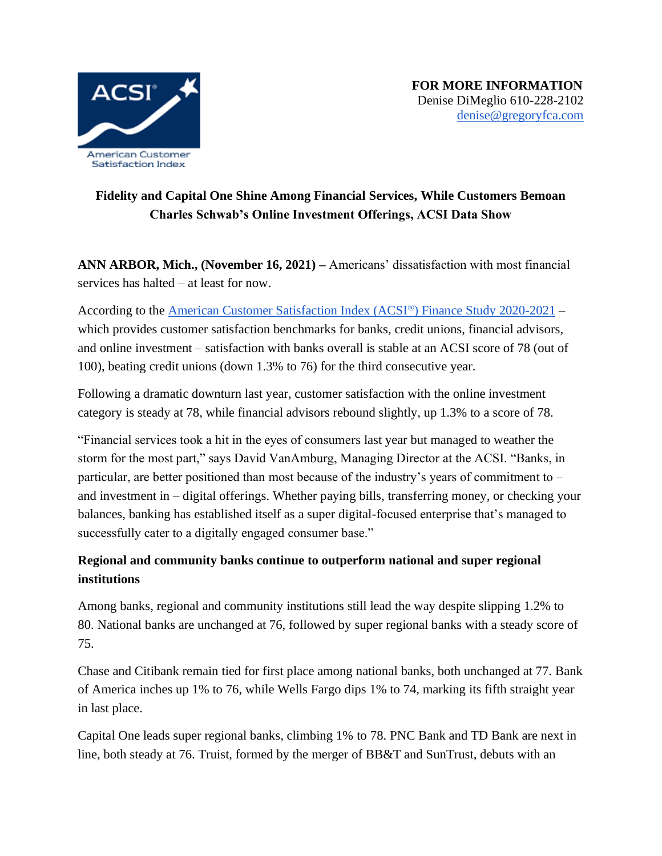

## **Fidelity and Capital One Shine Among Financial Services, While Customers Bemoan Charles Schwab's Online Investment Offerings, ACSI Data Show**

**ANN ARBOR, Mich., (November 16, 2021) –** Americans' dissatisfaction with most financial services has halted – at least for now.

According to the [American Customer Satisfaction Index \(ACSI](https://www.theacsi.org/news-and-resources/customer-satisfaction-reports/reports-2021/acsi-finance-study-2020-2021)[®](https://www.theacsi.org/news-and-resources/customer-satisfaction-reports/reports-2021/acsi-finance-study-2020-2021)[\) Finance Study 2020-2021](https://www.theacsi.org/news-and-resources/customer-satisfaction-reports/reports-2021/acsi-finance-study-2020-2021) – which provides customer satisfaction benchmarks for banks, credit unions, financial advisors, and online investment – satisfaction with banks overall is stable at an ACSI score of 78 (out of 100), beating credit unions (down 1.3% to 76) for the third consecutive year.

Following a dramatic downturn last year, customer satisfaction with the online investment category is steady at 78, while financial advisors rebound slightly, up 1.3% to a score of 78.

"Financial services took a hit in the eyes of consumers last year but managed to weather the storm for the most part," says David VanAmburg, Managing Director at the ACSI. "Banks, in particular, are better positioned than most because of the industry's years of commitment to – and investment in – digital offerings. Whether paying bills, transferring money, or checking your balances, banking has established itself as a super digital-focused enterprise that's managed to successfully cater to a digitally engaged consumer base."

## **Regional and community banks continue to outperform national and super regional institutions**

Among banks, regional and community institutions still lead the way despite slipping 1.2% to 80. National banks are unchanged at 76, followed by super regional banks with a steady score of 75.

Chase and Citibank remain tied for first place among national banks, both unchanged at 77. Bank of America inches up 1% to 76, while Wells Fargo dips 1% to 74, marking its fifth straight year in last place.

Capital One leads super regional banks, climbing 1% to 78. PNC Bank and TD Bank are next in line, both steady at 76. Truist, formed by the merger of BB&T and SunTrust, debuts with an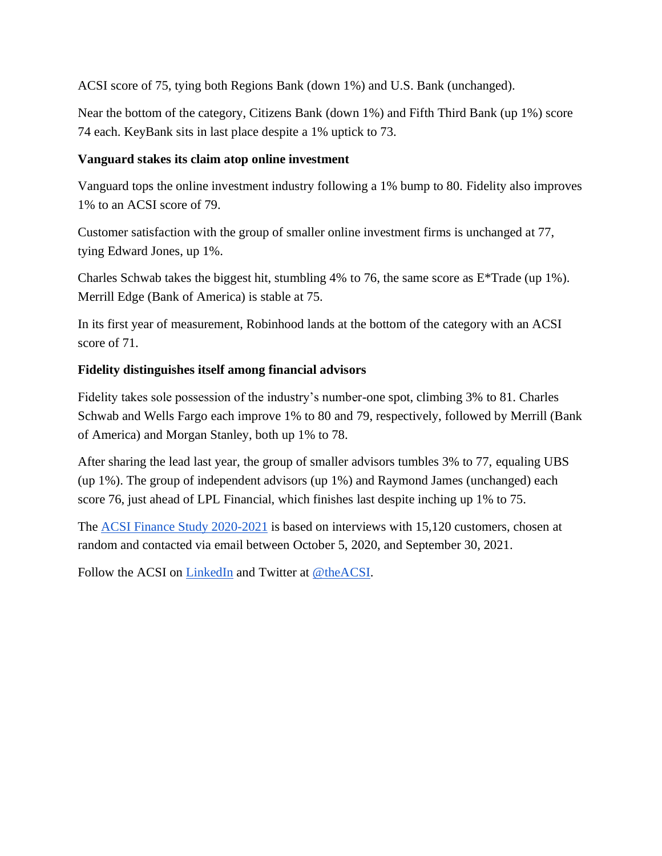ACSI score of 75, tying both Regions Bank (down 1%) and U.S. Bank (unchanged).

Near the bottom of the category, Citizens Bank (down 1%) and Fifth Third Bank (up 1%) score 74 each. KeyBank sits in last place despite a 1% uptick to 73.

### **Vanguard stakes its claim atop online investment**

Vanguard tops the online investment industry following a 1% bump to 80. Fidelity also improves 1% to an ACSI score of 79.

Customer satisfaction with the group of smaller online investment firms is unchanged at 77, tying Edward Jones, up 1%.

Charles Schwab takes the biggest hit, stumbling 4% to 76, the same score as E\*Trade (up 1%). Merrill Edge (Bank of America) is stable at 75.

In its first year of measurement, Robinhood lands at the bottom of the category with an ACSI score of 71.

### **Fidelity distinguishes itself among financial advisors**

Fidelity takes sole possession of the industry's number-one spot, climbing 3% to 81. Charles Schwab and Wells Fargo each improve 1% to 80 and 79, respectively, followed by Merrill (Bank of America) and Morgan Stanley, both up 1% to 78.

After sharing the lead last year, the group of smaller advisors tumbles 3% to 77, equaling UBS (up 1%). The group of independent advisors (up 1%) and Raymond James (unchanged) each score 76, just ahead of LPL Financial, which finishes last despite inching up 1% to 75.

The [ACSI Finance Study 2020-2021](https://www.theacsi.org/news-and-resources/customer-satisfaction-reports/reports-2021/acsi-finance-study-2020-2021) is based on interviews with 15,120 customers, chosen at random and contacted via email between October 5, 2020, and September 30, 2021.

Follow the ACSI on [LinkedIn](https://www.linkedin.com/company/american-customer-satisfaction-index-acsi-/) and Twitter at [@theACSI.](https://www.twitter.com/theacsi)